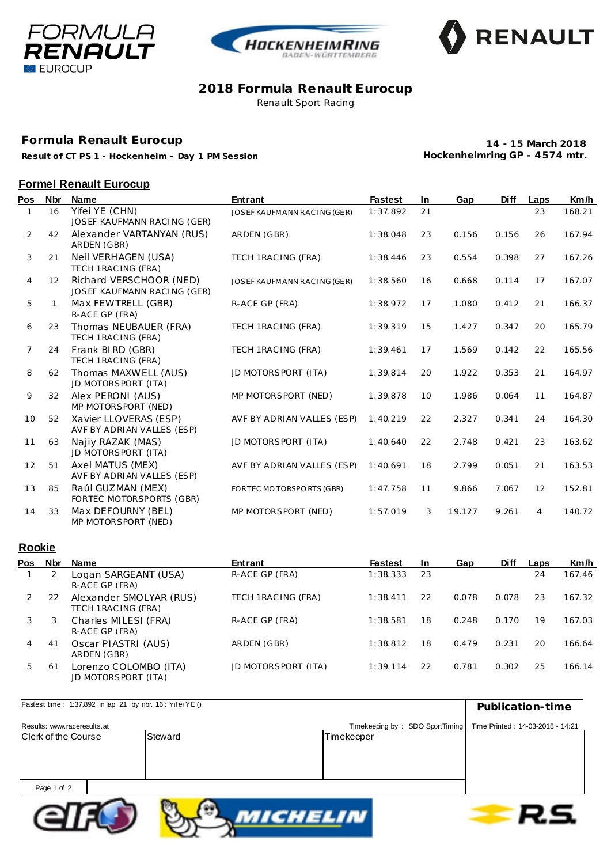





### **2018 Formula Renault Eurocup** Renault Sport Racing

**Formula Renault Eurocup**

**Result of CT PS 1 - Hockenheim - Day 1 PM Session**

**14 - 15 March 2018 Hockenheimring GP - 4 574 mtr.**

## **Formel Renault Eurocup**

| Pos            | <b>Nbr</b> | <b>Name</b>                                            | <b>Entrant</b>               | <b>Fastest</b> | <b>In</b> | Gap    | <b>Diff</b> | Laps | Km/h   |
|----------------|------------|--------------------------------------------------------|------------------------------|----------------|-----------|--------|-------------|------|--------|
|                | 16         | Yifei YE (CHN)<br>JOSEF KAUFMANN RACING (GER)          | JOSEF KAUFMANN RAC ING (GER) | 1:37.892       | 21        |        |             | 23   | 168.21 |
| $\overline{2}$ | 42         | Alexander VARTANYAN (RUS)<br>ARDEN (GBR)               | ARDEN (GBR)                  | 1:38.048       | 23        | 0.156  | 0.156       | 26   | 167.94 |
| 3              | 21         | Neil VERHAGEN (USA)<br>TECH 1RAC ING (FRA)             | TECH 1RAC ING (FRA)          | 1:38.446       | 23        | 0.554  | 0.398       | 27   | 167.26 |
| 4              | 12         | Richard VERSCHOOR (NED)<br>JOSEF KAUFMANN RACING (GER) | JOSEF KAUFMANN RAC ING (GER) | 1:38.560       | 16        | 0.668  | 0.114       | 17   | 167.07 |
| 5              | 1          | Max FEWTRELL (GBR)<br>R-ACE GP (FRA)                   | R-ACE GP (FRA)               | 1:38.972       | 17        | 1.080  | 0.412       | 21   | 166.37 |
| 6              | 23         | Thomas NEUBAUER (FRA)<br>TECH 1RAC ING (FRA)           | TECH 1RAC ING (FRA)          | 1:39.319       | 15        | 1.427  | 0.347       | 20   | 165.79 |
| $\overline{7}$ | 24         | Frank BIRD (GBR)<br>TECH 1RAC ING (FRA)                | TECH 1 RAC ING (FRA)         | 1:39.461       | 17        | 1.569  | 0.142       | 22   | 165.56 |
| 8              | 62         | Thomas MAXWELL (AUS)<br>JD MOTORSPORT (ITA)            | JD MOTORSPORT (ITA)          | 1:39.814       | 20        | 1.922  | 0.353       | 21   | 164.97 |
| 9              | 32         | Alex PERONI (AUS)<br>MP MOTORSPORT (NED)               | MP MOTORSPORT (NED)          | 1:39.878       | 10        | 1.986  | 0.064       | 11   | 164.87 |
| 10             | 52         | Xavier LLOVERAS (ESP)<br>AVF BY ADRIAN VALLES (ESP)    | AVF BY ADRIAN VALLES (ESP)   | 1:40.219       | 22        | 2.327  | 0.341       | 24   | 164.30 |
| 11             | 63         | Najiy RAZAK (MAS)<br>JD MOTORSPORT (ITA)               | JD MOTORSPORT (ITA)          | 1:40.640       | 22        | 2.748  | 0.421       | 23   | 163.62 |
| 12             | 51         | Axel MATUS (MEX)<br>AVF BY ADRIAN VALLES (ESP)         | AVF BY ADRIAN VALLES (ESP)   | 1:40.691       | 18        | 2.799  | 0.051       | 21   | 163.53 |
| 13             | 85         | Raúl GUZMAN (MEX)<br>FORTEC MOTORSPORTS (GBR)          | FORTEC MOTORSPORTS (GBR)     | 1:47.758       | 11        | 9.866  | 7.067       | 12   | 152.81 |
| 14             | 33         | Max DEFOURNY (BEL)<br>MP MOTORSPORT (NED)              | MP MOTORSPORT (NED)          | 1:57.019       | 3         | 19.127 | 9.261       | 4    | 140.72 |

## **Rookie**

| Pos | Nbr | Name                                           | <b>Entrant</b>      | <b>Fastest</b> | -In | Gap   | <b>Diff</b> | Laps | Km/h   |
|-----|-----|------------------------------------------------|---------------------|----------------|-----|-------|-------------|------|--------|
|     |     | Logan SARGEANT (USA)<br>R-ACE GP (FRA)         | R-ACE GP (FRA)      | 1:38.333       | 23  |       |             | 24   | 167.46 |
|     | 22  | Alexander SMOLYAR (RUS)<br>TECH 1RAC ING (FRA) | TECH 1RAC ING (FRA) | 1:38.411       | 22  | 0.078 | 0.078       | 23   | 167.32 |
| 3   | 3   | Charles MILESI (FRA)<br>R-ACE GP (FRA)         | R-ACE GP (FRA)      | 1:38.581       | 18  | 0.248 | 0.170       | 19   | 167.03 |
| 4   | 41  | Oscar PIASTRI (AUS)<br>ARDEN (GBR)             | ARDEN (GBR)         | 1:38.812       | 18  | 0.479 | 0.231       | 20   | 166.64 |
| 5   | -61 | Lorenzo COLOMBO (ITA)<br>JD MOTORSPORT (ITA)   | JD MOTORSPORT (ITA) | 1:39.114       | 22  | 0.781 | 0.302       | 25   | 166.14 |

| Fastest time: 1:37.892 in lap 21 by nbr. 16: Yifei YE () | Publication-time                                                   |            |  |
|----------------------------------------------------------|--------------------------------------------------------------------|------------|--|
| Results: www.raceresults.at                              | Timekeeping by: SDO SportTiming   Time Printed: 14-03-2018 - 14:21 |            |  |
| Clerk of the Course                                      | Steward                                                            | Timekeeper |  |
|                                                          |                                                                    |            |  |
|                                                          |                                                                    |            |  |
|                                                          |                                                                    |            |  |
| Page 1 of 2                                              |                                                                    |            |  |